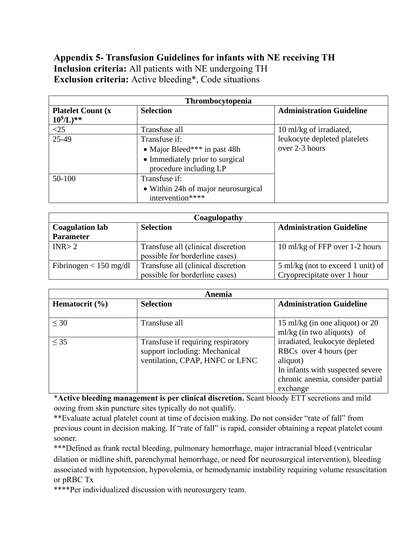# **Appendix 5- Transfusion Guidelines for infants with NE receiving TH Inclusion criteria:** All patients with NE undergoing TH **Exclusion criteria:** Active bleeding\*, Code situations

| Thrombocytopenia                          |                                                                                                            |                                                |  |
|-------------------------------------------|------------------------------------------------------------------------------------------------------------|------------------------------------------------|--|
| <b>Platelet Count (x)</b><br>$10^9$ /L)** | <b>Selection</b>                                                                                           | <b>Administration Guideline</b>                |  |
| $<$ 25                                    | Transfuse all                                                                                              | 10 ml/kg of irradiated,                        |  |
| $25-49$                                   | Transfuse if:<br>• Major Bleed*** in past 48h<br>• Immediately prior to surgical<br>procedure including LP | leukocyte depleted platelets<br>over 2-3 hours |  |
| 50-100                                    | Transfuse if:<br>• Within 24h of major neurosurgical<br>intervention****                                   |                                                |  |

| Coagulopathy             |                                    |                                   |  |
|--------------------------|------------------------------------|-----------------------------------|--|
| <b>Coagulation lab</b>   | <b>Selection</b>                   | <b>Administration Guideline</b>   |  |
| <b>Parameter</b>         |                                    |                                   |  |
| INR > 2                  | Transfuse all (clinical discretion | 10 ml/kg of FFP over 1-2 hours    |  |
|                          | possible for borderline cases)     |                                   |  |
| Fibrinogen $< 150$ mg/dl | Transfuse all (clinical discretion | 5 ml/kg (not to exceed 1 unit) of |  |
|                          | possible for borderline cases)     | Cryoprecipitate over 1 hour       |  |

| Anemia             |                                                                                                        |                                                                                                                                                                              |  |
|--------------------|--------------------------------------------------------------------------------------------------------|------------------------------------------------------------------------------------------------------------------------------------------------------------------------------|--|
| Hematocrit $(\% )$ | <b>Selection</b>                                                                                       | <b>Administration Guideline</b>                                                                                                                                              |  |
| $\leq 30$          | Transfuse all                                                                                          | 15 ml/kg (in one aliquot) or 20                                                                                                                                              |  |
| $<$ 35             | Transfuse if requiring respiratory<br>support including: Mechanical<br>ventilation, CPAP, HNFC or LFNC | $ml/kg$ (in two aliquots) of<br>irradiated, leukocyte depleted<br>RBCs over 4 hours (per<br>aliquot)<br>In infants with suspected severe<br>chronic anemia, consider partial |  |
|                    |                                                                                                        | exchange                                                                                                                                                                     |  |

\***Active bleeding management is per clinical discretion.** Scant bloody ETT secretions and mild oozing from skin puncture sites typically do not qualify.

\*\*Evaluate actual platelet count at time of decision making. Do not consider "rate of fall" from previous count in decision making. If "rate of fall" is rapid, consider obtaining a repeat platelet count sooner.

\*\*\*Defined as frank rectal bleeding, pulmonary hemorrhage, major intracranial bleed (ventricular dilation or midline shift, parenchymal hemorrhage, or need for neurosurgical intervention), bleeding associated with hypotension, hypovolemia, or hemodynamic instability requiring volume resuscitation or pRBC Tx

\*\*\*\*Per individualized discussion with neurosurgery team.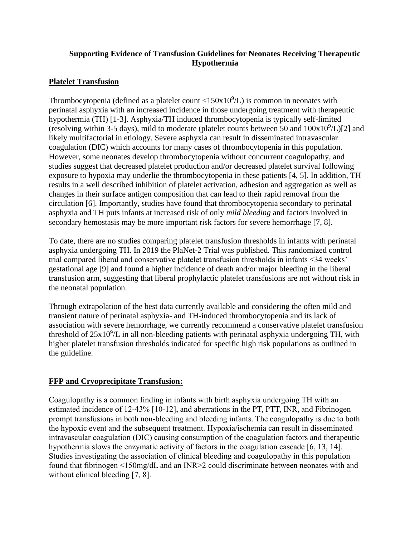## **Supporting Evidence of Transfusion Guidelines for Neonates Receiving Therapeutic Hypothermia**

## **Platelet Transfusion**

Thrombocytopenia (defined as a platelet count  $\langle 150x10^9/L \rangle$  is common in neonates with perinatal asphyxia with an increased incidence in those undergoing treatment with therapeutic hypothermia (TH) [1-3]. Asphyxia/TH induced thrombocytopenia is typically self-limited (resolving within 3-5 days), mild to moderate (platelet counts between 50 and  $100x10^9/L$ )[2] and likely multifactorial in etiology. Severe asphyxia can result in disseminated intravascular coagulation (DIC) which accounts for many cases of thrombocytopenia in this population. However, some neonates develop thrombocytopenia without concurrent coagulopathy, and studies suggest that decreased platelet production and/or decreased platelet survival following exposure to hypoxia may underlie the thrombocytopenia in these patients [4, 5]. In addition, TH results in a well described inhibition of platelet activation, adhesion and aggregation as well as changes in their surface antigen composition that can lead to their rapid removal from the circulation [6]. Importantly, studies have found that thrombocytopenia secondary to perinatal asphyxia and TH puts infants at increased risk of only *mild bleeding* and factors involved in secondary hemostasis may be more important risk factors for severe hemorrhage [7, 8].

To date, there are no studies comparing platelet transfusion thresholds in infants with perinatal asphyxia undergoing TH. In 2019 the PlaNet-2 Trial was published. This randomized control trial compared liberal and conservative platelet transfusion thresholds in infants <34 weeks' gestational age [9] and found a higher incidence of death and/or major bleeding in the liberal transfusion arm, suggesting that liberal prophylactic platelet transfusions are not without risk in the neonatal population.

Through extrapolation of the best data currently available and considering the often mild and transient nature of perinatal asphyxia- and TH-induced thrombocytopenia and its lack of association with severe hemorrhage, we currently recommend a conservative platelet transfusion threshold of  $25x10<sup>9</sup>/L$  in all non-bleeding patients with perinatal asphyxia undergoing TH, with higher platelet transfusion thresholds indicated for specific high risk populations as outlined in the guideline.

#### **FFP and Cryoprecipitate Transfusion:**

Coagulopathy is a common finding in infants with birth asphyxia undergoing TH with an estimated incidence of 12-43% [10-12], and aberrations in the PT, PTT, INR, and Fibrinogen prompt transfusions in both non-bleeding and bleeding infants. The coagulopathy is due to both the hypoxic event and the subsequent treatment. Hypoxia/ischemia can result in disseminated intravascular coagulation (DIC) causing consumption of the coagulation factors and therapeutic hypothermia slows the enzymatic activity of factors in the coagulation cascade [6, 13, 14]. Studies investigating the association of clinical bleeding and coagulopathy in this population found that fibrinogen <150mg/dL and an INR>2 could discriminate between neonates with and without clinical bleeding [7, 8].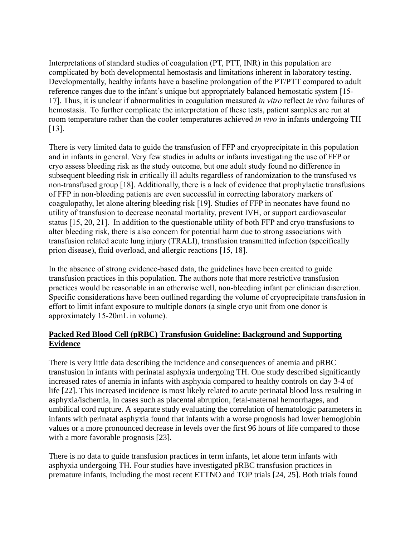Interpretations of standard studies of coagulation (PT, PTT, INR) in this population are complicated by both developmental hemostasis and limitations inherent in laboratory testing. Developmentally, healthy infants have a baseline prolongation of the PT/PTT compared to adult reference ranges due to the infant's unique but appropriately balanced hemostatic system [15- 17]. Thus, it is unclear if abnormalities in coagulation measured *in vitro* reflect *in vivo* failures of hemostasis. To further complicate the interpretation of these tests, patient samples are run at room temperature rather than the cooler temperatures achieved *in vivo* in infants undergoing TH [13].

There is very limited data to guide the transfusion of FFP and cryoprecipitate in this population and in infants in general. Very few studies in adults or infants investigating the use of FFP or cryo assess bleeding risk as the study outcome, but one adult study found no difference in subsequent bleeding risk in critically ill adults regardless of randomization to the transfused vs non-transfused group [18]. Additionally, there is a lack of evidence that prophylactic transfusions of FFP in non-bleeding patients are even successful in correcting laboratory markers of coagulopathy, let alone altering bleeding risk [19]. Studies of FFP in neonates have found no utility of transfusion to decrease neonatal mortality, prevent IVH, or support cardiovascular status [15, 20, 21]. In addition to the questionable utility of both FFP and cryo transfusions to alter bleeding risk, there is also concern for potential harm due to strong associations with transfusion related acute lung injury (TRALI), transfusion transmitted infection (specifically prion disease), fluid overload, and allergic reactions [15, 18].

In the absence of strong evidence-based data, the guidelines have been created to guide transfusion practices in this population. The authors note that more restrictive transfusion practices would be reasonable in an otherwise well, non-bleeding infant per clinician discretion. Specific considerations have been outlined regarding the volume of cryoprecipitate transfusion in effort to limit infant exposure to multiple donors (a single cryo unit from one donor is approximately 15-20mL in volume).

#### **Packed Red Blood Cell (pRBC) Transfusion Guideline: Background and Supporting Evidence**

There is very little data describing the incidence and consequences of anemia and pRBC transfusion in infants with perinatal asphyxia undergoing TH. One study described significantly increased rates of anemia in infants with asphyxia compared to healthy controls on day 3-4 of life [22]. This increased incidence is most likely related to acute perinatal blood loss resulting in asphyxia/ischemia, in cases such as placental abruption, fetal-maternal hemorrhages, and umbilical cord rupture. A separate study evaluating the correlation of hematologic parameters in infants with perinatal asphyxia found that infants with a worse prognosis had lower hemoglobin values or a more pronounced decrease in levels over the first 96 hours of life compared to those with a more favorable prognosis [23].

There is no data to guide transfusion practices in term infants, let alone term infants with asphyxia undergoing TH. Four studies have investigated pRBC transfusion practices in premature infants, including the most recent ETTNO and TOP trials [24, 25]. Both trials found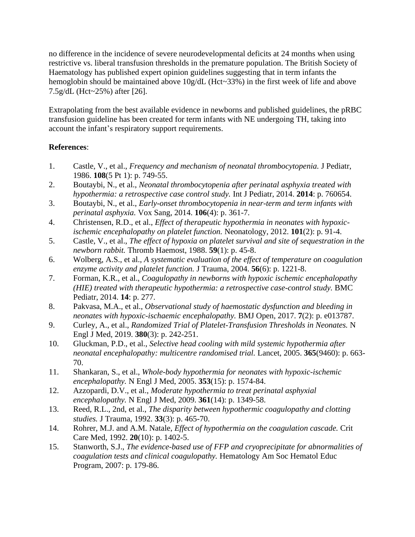no difference in the incidence of severe neurodevelopmental deficits at 24 months when using restrictive vs. liberal transfusion thresholds in the premature population. The British Society of Haematology has published expert opinion guidelines suggesting that in term infants the hemoglobin should be maintained above  $10g/dL$  (Hct~33%) in the first week of life and above 7.5g/dL (Hct~25%) after [26].

Extrapolating from the best available evidence in newborns and published guidelines, the pRBC transfusion guideline has been created for term infants with NE undergoing TH, taking into account the infant's respiratory support requirements.

## **References**:

- 1. Castle, V., et al., *Frequency and mechanism of neonatal thrombocytopenia.* J Pediatr, 1986. **108**(5 Pt 1): p. 749-55.
- 2. Boutaybi, N., et al., *Neonatal thrombocytopenia after perinatal asphyxia treated with hypothermia: a retrospective case control study.* Int J Pediatr, 2014. **2014**: p. 760654.
- 3. Boutaybi, N., et al., *Early-onset thrombocytopenia in near-term and term infants with perinatal asphyxia.* Vox Sang, 2014. **106**(4): p. 361-7.
- 4. Christensen, R.D., et al., *Effect of therapeutic hypothermia in neonates with hypoxicischemic encephalopathy on platelet function.* Neonatology, 2012. **101**(2): p. 91-4.
- 5. Castle, V., et al., *The effect of hypoxia on platelet survival and site of sequestration in the newborn rabbit.* Thromb Haemost, 1988. **59**(1): p. 45-8.
- 6. Wolberg, A.S., et al., *A systematic evaluation of the effect of temperature on coagulation enzyme activity and platelet function.* J Trauma, 2004. **56**(6): p. 1221-8.
- 7. Forman, K.R., et al., *Coagulopathy in newborns with hypoxic ischemic encephalopathy (HIE) treated with therapeutic hypothermia: a retrospective case-control study.* BMC Pediatr, 2014. **14**: p. 277.
- 8. Pakvasa, M.A., et al., *Observational study of haemostatic dysfunction and bleeding in neonates with hypoxic-ischaemic encephalopathy.* BMJ Open, 2017. **7**(2): p. e013787.
- 9. Curley, A., et al., *Randomized Trial of Platelet-Transfusion Thresholds in Neonates.* N Engl J Med, 2019. **380**(3): p. 242-251.
- 10. Gluckman, P.D., et al., *Selective head cooling with mild systemic hypothermia after neonatal encephalopathy: multicentre randomised trial.* Lancet, 2005. **365**(9460): p. 663- 70.
- 11. Shankaran, S., et al., *Whole-body hypothermia for neonates with hypoxic-ischemic encephalopathy.* N Engl J Med, 2005. **353**(15): p. 1574-84.
- 12. Azzopardi, D.V., et al., *Moderate hypothermia to treat perinatal asphyxial encephalopathy.* N Engl J Med, 2009. **361**(14): p. 1349-58.
- 13. Reed, R.L., 2nd, et al., *The disparity between hypothermic coagulopathy and clotting studies.* J Trauma, 1992. **33**(3): p. 465-70.
- 14. Rohrer, M.J. and A.M. Natale, *Effect of hypothermia on the coagulation cascade.* Crit Care Med, 1992. **20**(10): p. 1402-5.
- 15. Stanworth, S.J., *The evidence-based use of FFP and cryoprecipitate for abnormalities of coagulation tests and clinical coagulopathy.* Hematology Am Soc Hematol Educ Program, 2007: p. 179-86.